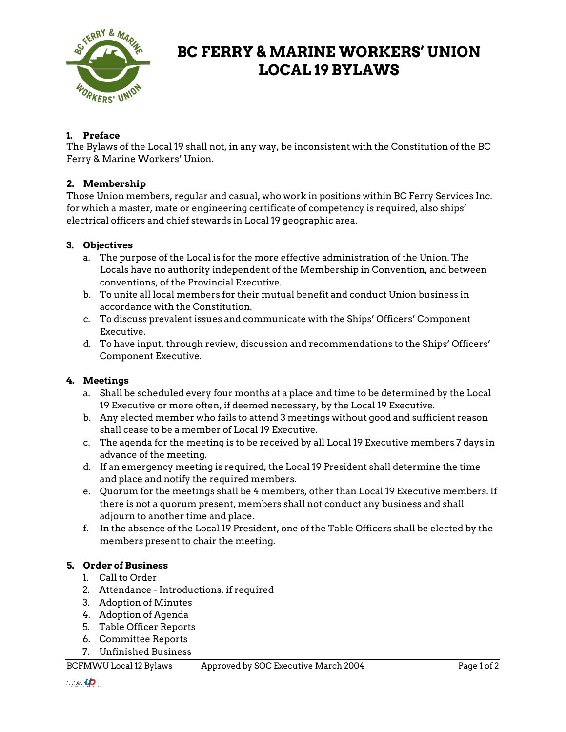

# **BC FERRY & MARINE WORKERS' UNION LOCAL 19 BYLAWS**

# **1. Preface**

The Bylaws of the Local 19 shall not, in any way, be inconsistent with the Constitution of the BC Ferry & Marine Workers' Union.

# **2. Membership**

Those Union members, regular and casual, who work in positions within BC Ferry Services Inc. for which a master, mate or engineering certificate of competency is required, also ships' electrical officers and chief stewards in Local 19 geographic area.

# **3. Objectives**

- a. The purpose of the Local is for the more effective administration of the Union. The Locals have no authority independent of the Membership in Convention, and between conventions, of the Provincial Executive.
- b. To unite all local members for their mutual benefit and conduct Union business in accordance with the Constitution.
- c. To discuss prevalent issues and communicate with the Ships' Officers' Component Executive.
- d. To have input, through review, discussion and recommendations to the Ships' Officers' Component Executive.

## **4. Meetings**

- a. Shall be scheduled every four months at a place and time to be determined by the Local 19 Executive or more often, if deemed necessary, by the Local 19 Executive.
- b. Any elected member who fails to attend 3 meetings without good and sufficient reason shall cease to be a member of Local 19 Executive.
- c. The agenda for the meeting is to be received by all Local 19 Executive members 7 days in advance of the meeting.
- d. If an emergency meeting is required, the Local 19 President shall determine the time and place and notify the required members.
- e. Quorum for the meetings shall be 4 members, other than Local 19 Executive members. If there is not a quorum present, members shall not conduct any business and shall adjourn to another time and place.
- f. In the absence of the Local 19 President, one of the Table Officers shall be elected by the members present to chair the meeting.

## **5. Order of Business**

- 1. Call to Order
- 2. Attendance Introductions, if required
- 3. Adoption of Minutes
- 4. Adoption of Agenda
- 5. Table Officer Reports
- 6. Committee Reports
- 7. Unfinished Business